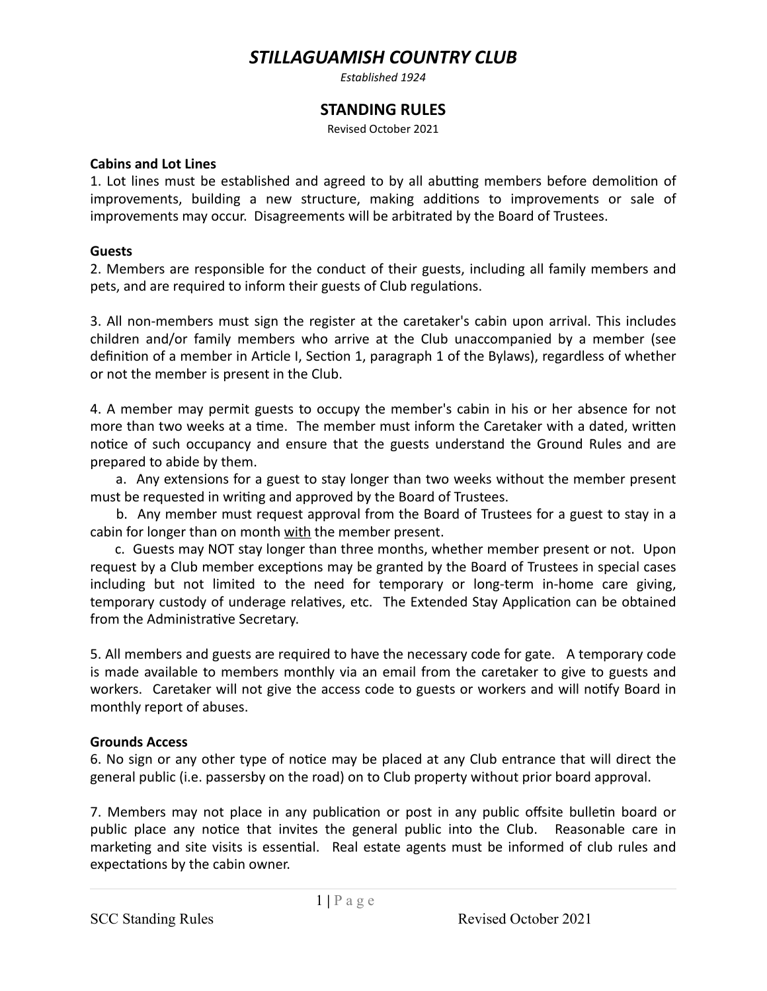# *STILLAGUAMISH COUNTRY CLUB*

*Established 1924* 

## **STANDING RULES**

Revised October 2021

#### **Cabins and Lot Lines**

1. Lot lines must be established and agreed to by all abutting members before demolition of improvements, building a new structure, making additions to improvements or sale of improvements may occur. Disagreements will be arbitrated by the Board of Trustees.

## **Guests**

2. Members are responsible for the conduct of their guests, including all family members and pets, and are required to inform their guests of Club regulations.

3. All non-members must sign the register at the caretaker's cabin upon arrival. This includes children and/or family members who arrive at the Club unaccompanied by a member (see definition of a member in Article I, Section 1, paragraph 1 of the Bylaws), regardless of whether or not the member is present in the Club.

4. A member may permit guests to occupy the member's cabin in his or her absence for not more than two weeks at a time. The member must inform the Caretaker with a dated, written notice of such occupancy and ensure that the guests understand the Ground Rules and are prepared to abide by them.

a. Any extensions for a guest to stay longer than two weeks without the member present must be requested in writing and approved by the Board of Trustees.

b. Any member must request approval from the Board of Trustees for a guest to stay in a cabin for longer than on month with the member present.

c. Guests may NOT stay longer than three months, whether member present or not. Upon request by a Club member exceptions may be granted by the Board of Trustees in special cases including but not limited to the need for temporary or long-term in-home care giving, temporary custody of underage relatives, etc. The Extended Stay Application can be obtained from the Administrative Secretary.

5. All members and guests are required to have the necessary code for gate. A temporary code is made available to members monthly via an email from the caretaker to give to guests and workers. Caretaker will not give the access code to guests or workers and will notify Board in monthly report of abuses.

## **Grounds Access**

6. No sign or any other type of notice may be placed at any Club entrance that will direct the general public (i.e. passersby on the road) on to Club property without prior board approval.

7. Members may not place in any publication or post in any public offsite bulletin board or public place any notice that invites the general public into the Club. Reasonable care in marketing and site visits is essential. Real estate agents must be informed of club rules and expectations by the cabin owner.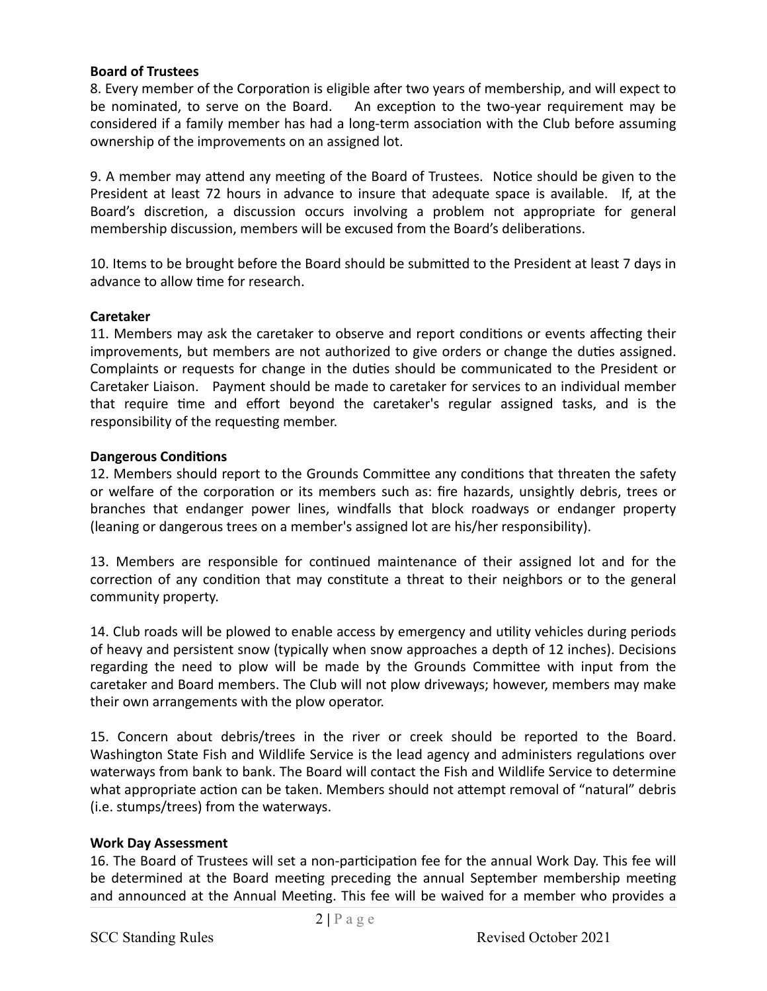#### **Board of Trustees**

8. Every member of the Corporation is eligible after two years of membership, and will expect to be nominated, to serve on the Board. An exception to the two-year requirement may be considered if a family member has had a long-term association with the Club before assuming ownership of the improvements on an assigned lot.

9. A member may attend any meeting of the Board of Trustees. Notice should be given to the President at least 72 hours in advance to insure that adequate space is available. If, at the Board's discretion, a discussion occurs involving a problem not appropriate for general membership discussion, members will be excused from the Board's deliberations.

10. Items to be brought before the Board should be submitted to the President at least 7 days in advance to allow time for research.

#### **Caretaker**

11. Members may ask the caretaker to observe and report conditions or events affecting their improvements, but members are not authorized to give orders or change the duties assigned. Complaints or requests for change in the duties should be communicated to the President or Caretaker Liaison. Payment should be made to caretaker for services to an individual member that require time and effort beyond the caretaker's regular assigned tasks, and is the responsibility of the requesting member.

#### **Dangerous Conditions**

12. Members should report to the Grounds Committee any conditions that threaten the safety or welfare of the corporation or its members such as: fire hazards, unsightly debris, trees or branches that endanger power lines, windfalls that block roadways or endanger property (leaning or dangerous trees on a member's assigned lot are his/her responsibility).

13. Members are responsible for continued maintenance of their assigned lot and for the correction of any condition that may constitute a threat to their neighbors or to the general community property.

14. Club roads will be plowed to enable access by emergency and utility vehicles during periods of heavy and persistent snow (typically when snow approaches a depth of 12 inches). Decisions regarding the need to plow will be made by the Grounds Committee with input from the caretaker and Board members. The Club will not plow driveways; however, members may make their own arrangements with the plow operator.

15. Concern about debris/trees in the river or creek should be reported to the Board. Washington State Fish and Wildlife Service is the lead agency and administers regulations over waterways from bank to bank. The Board will contact the Fish and Wildlife Service to determine what appropriate action can be taken. Members should not attempt removal of "natural" debris (i.e. stumps/trees) from the waterways.

## **Work Day Assessment**

16. The Board of Trustees will set a non-participation fee for the annual Work Day. This fee will be determined at the Board meeting preceding the annual September membership meeting and announced at the Annual Meeting. This fee will be waived for a member who provides a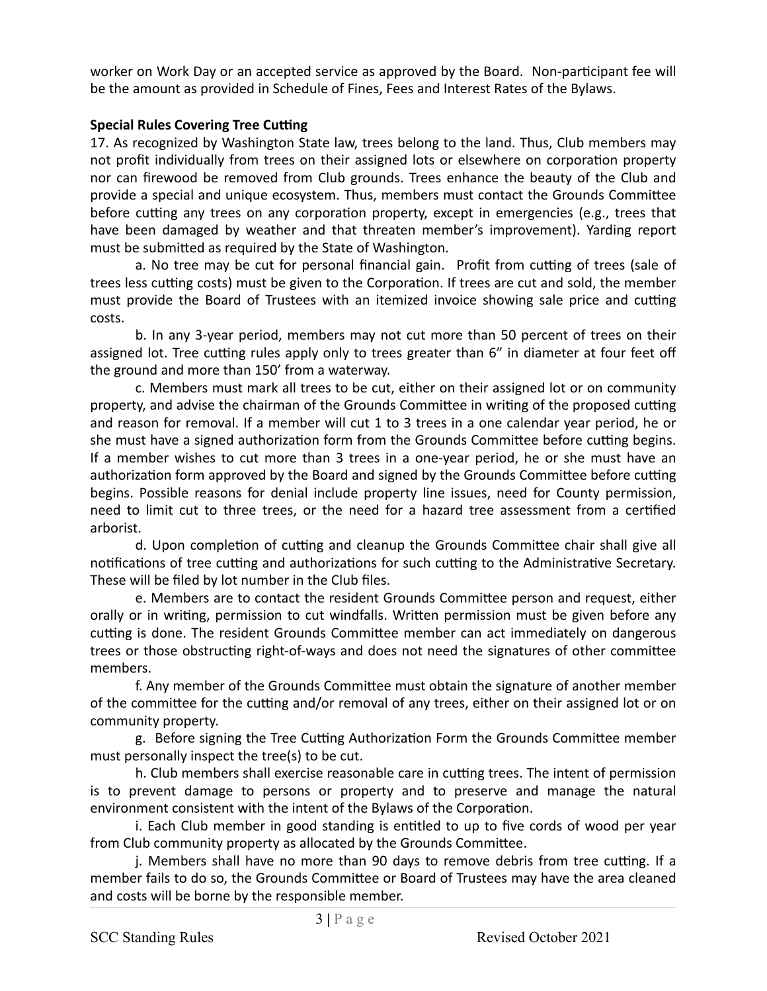worker on Work Day or an accepted service as approved by the Board. Non-participant fee will be the amount as provided in Schedule of Fines, Fees and Interest Rates of the Bylaws.

## **Special Rules Covering Tree Cutting**

17. As recognized by Washington State law, trees belong to the land. Thus, Club members may not profit individually from trees on their assigned lots or elsewhere on corporation property nor can firewood be removed from Club grounds. Trees enhance the beauty of the Club and provide a special and unique ecosystem. Thus, members must contact the Grounds Committee before cutting any trees on any corporation property, except in emergencies (e.g., trees that have been damaged by weather and that threaten member's improvement). Yarding report must be submitted as required by the State of Washington.

a. No tree may be cut for personal financial gain. Profit from cutting of trees (sale of trees less cutting costs) must be given to the Corporation. If trees are cut and sold, the member must provide the Board of Trustees with an itemized invoice showing sale price and cutting costs. 

b. In any 3-year period, members may not cut more than 50 percent of trees on their assigned lot. Tree cutting rules apply only to trees greater than 6" in diameter at four feet off the ground and more than 150' from a waterway.

c. Members must mark all trees to be cut, either on their assigned lot or on community property, and advise the chairman of the Grounds Committee in writing of the proposed cutting and reason for removal. If a member will cut 1 to 3 trees in a one calendar year period, he or she must have a signed authorization form from the Grounds Committee before cutting begins. If a member wishes to cut more than 3 trees in a one-year period, he or she must have an authorization form approved by the Board and signed by the Grounds Committee before cutting begins. Possible reasons for denial include property line issues, need for County permission, need to limit cut to three trees, or the need for a hazard tree assessment from a certified arborist. 

d. Upon completion of cutting and cleanup the Grounds Committee chair shall give all notifications of tree cutting and authorizations for such cutting to the Administrative Secretary. These will be filed by lot number in the Club files.

e. Members are to contact the resident Grounds Committee person and request, either orally or in writing, permission to cut windfalls. Written permission must be given before any cutting is done. The resident Grounds Committee member can act immediately on dangerous trees or those obstructing right-of-ways and does not need the signatures of other committee members. 

f. Any member of the Grounds Committee must obtain the signature of another member of the committee for the cutting and/or removal of any trees, either on their assigned lot or on community property.

g. Before signing the Tree Cutting Authorization Form the Grounds Committee member must personally inspect the tree(s) to be cut.

h. Club members shall exercise reasonable care in cutting trees. The intent of permission is to prevent damage to persons or property and to preserve and manage the natural environment consistent with the intent of the Bylaws of the Corporation.

i. Each Club member in good standing is entitled to up to five cords of wood per year from Club community property as allocated by the Grounds Committee.

j. Members shall have no more than 90 days to remove debris from tree cutting. If a member fails to do so, the Grounds Committee or Board of Trustees may have the area cleaned and costs will be borne by the responsible member.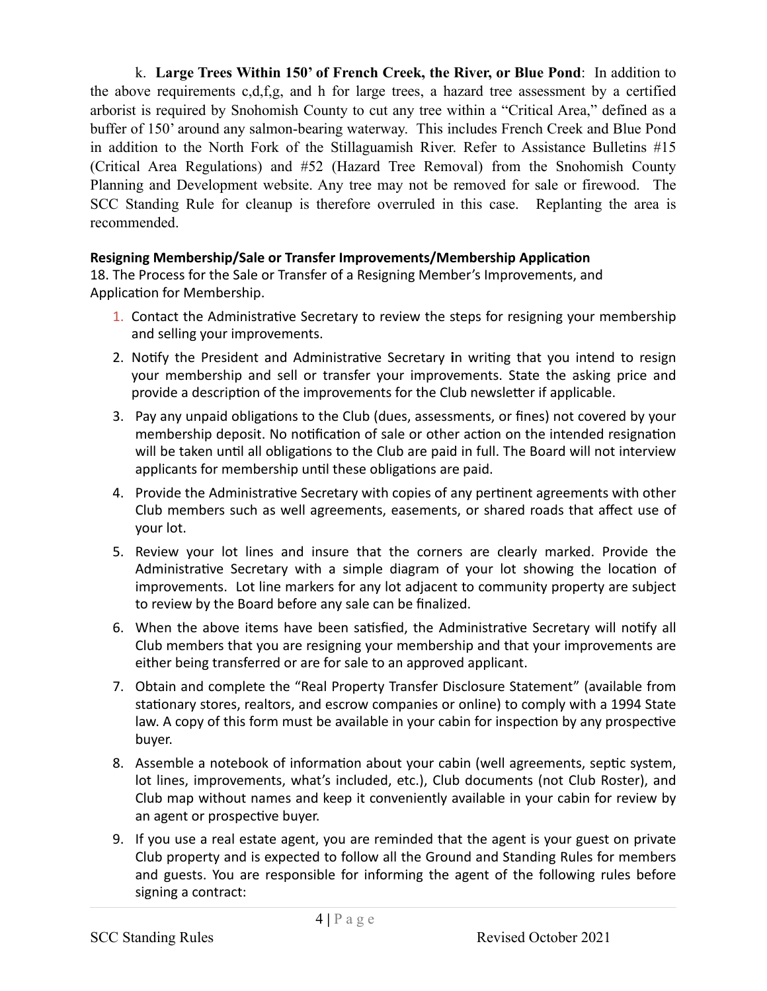k. **Large Trees Within 150' of French Creek, the River, or Blue Pond**: In addition to the above requirements c,d,f,g, and h for large trees, a hazard tree assessment by a certified arborist is required by Snohomish County to cut any tree within a "Critical Area," defined as a buffer of 150' around any salmon-bearing waterway. This includes French Creek and Blue Pond in addition to the North Fork of the Stillaguamish River. Refer to Assistance Bulletins #15 (Critical Area Regulations) and #52 (Hazard Tree Removal) from the Snohomish County Planning and Development website. Any tree may not be removed for sale or firewood. The SCC Standing Rule for cleanup is therefore overruled in this case. Replanting the area is recommended.

# **Resigning Membership/Sale or Transfer Improvements/Membership Application**

18. The Process for the Sale or Transfer of a Resigning Member's Improvements, and Application for Membership.

- 1. Contact the Administrative Secretary to review the steps for resigning your membership and selling your improvements.
- 2. Notify the President and Administrative Secretary in writing that you intend to resign your membership and sell or transfer your improvements. State the asking price and provide a description of the improvements for the Club newsletter if applicable.
- 3. Pay any unpaid obligations to the Club (dues, assessments, or fines) not covered by your membership deposit. No notification of sale or other action on the intended resignation will be taken until all obligations to the Club are paid in full. The Board will not interview applicants for membership until these obligations are paid.
- 4. Provide the Administrative Secretary with copies of any pertinent agreements with other Club members such as well agreements, easements, or shared roads that affect use of your lot.
- 5. Review your lot lines and insure that the corners are clearly marked. Provide the Administrative Secretary with a simple diagram of your lot showing the location of improvements. Lot line markers for any lot adjacent to community property are subject to review by the Board before any sale can be finalized.
- 6. When the above items have been satisfied, the Administrative Secretary will notify all Club members that you are resigning your membership and that your improvements are either being transferred or are for sale to an approved applicant.
- 7. Obtain and complete the "Real Property Transfer Disclosure Statement" (available from stationary stores, realtors, and escrow companies or online) to comply with a 1994 State law. A copy of this form must be available in your cabin for inspection by any prospective buyer.
- 8. Assemble a notebook of information about your cabin (well agreements, septic system, lot lines, improvements, what's included, etc.), Club documents (not Club Roster), and Club map without names and keep it conveniently available in your cabin for review by an agent or prospective buyer.
- 9. If you use a real estate agent, you are reminded that the agent is your guest on private Club property and is expected to follow all the Ground and Standing Rules for members and guests. You are responsible for informing the agent of the following rules before signing a contract: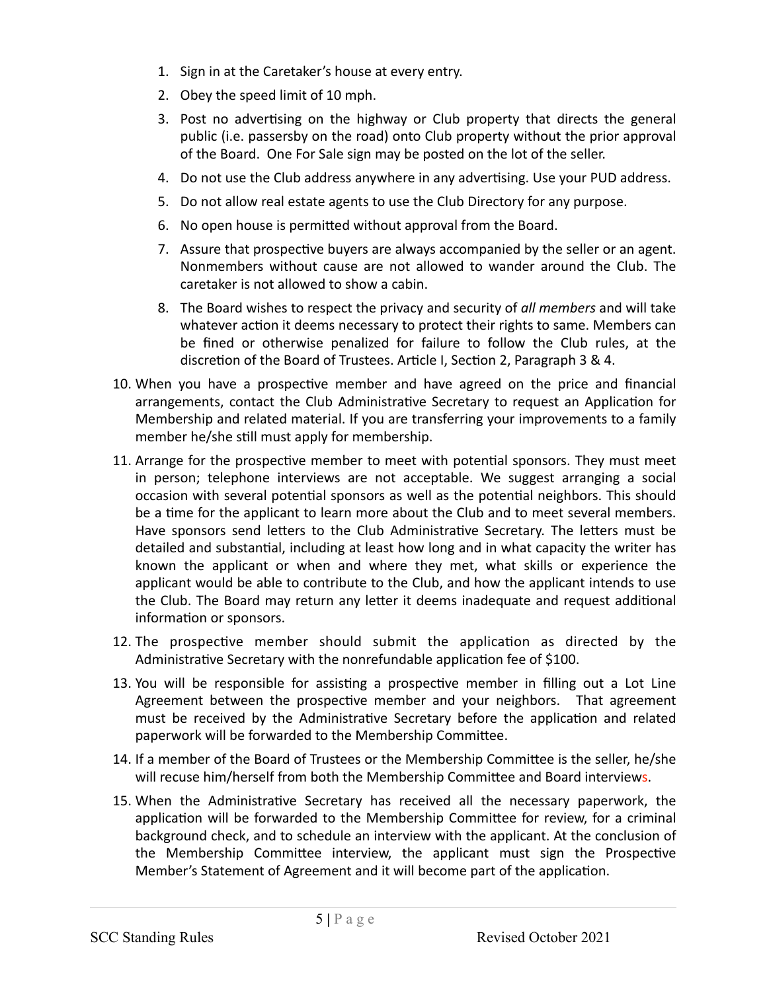- 1. Sign in at the Caretaker's house at every entry.
- 2. Obey the speed limit of 10 mph.
- 3. Post no advertising on the highway or Club property that directs the general public (i.e. passersby on the road) onto Club property without the prior approval of the Board. One For Sale sign may be posted on the lot of the seller.
- 4. Do not use the Club address anywhere in any advertising. Use your PUD address.
- 5. Do not allow real estate agents to use the Club Directory for any purpose.
- 6. No open house is permitted without approval from the Board.
- 7. Assure that prospective buyers are always accompanied by the seller or an agent. Nonmembers without cause are not allowed to wander around the Club. The caretaker is not allowed to show a cabin.
- 8. The Board wishes to respect the privacy and security of *all members* and will take whatever action it deems necessary to protect their rights to same. Members can be fined or otherwise penalized for failure to follow the Club rules, at the discretion of the Board of Trustees. Article I, Section 2, Paragraph 3 & 4.
- 10. When you have a prospective member and have agreed on the price and financial arrangements, contact the Club Administrative Secretary to request an Application for Membership and related material. If you are transferring your improvements to a family member he/she still must apply for membership.
- 11. Arrange for the prospective member to meet with potential sponsors. They must meet in person; telephone interviews are not acceptable. We suggest arranging a social occasion with several potential sponsors as well as the potential neighbors. This should be a time for the applicant to learn more about the Club and to meet several members. Have sponsors send letters to the Club Administrative Secretary. The letters must be detailed and substantial, including at least how long and in what capacity the writer has known the applicant or when and where they met, what skills or experience the applicant would be able to contribute to the Club, and how the applicant intends to use the Club. The Board may return any letter it deems inadequate and request additional information or sponsors.
- 12. The prospective member should submit the application as directed by the Administrative Secretary with the nonrefundable application fee of \$100.
- 13. You will be responsible for assisting a prospective member in filling out a Lot Line Agreement between the prospective member and your neighbors. That agreement must be received by the Administrative Secretary before the application and related paperwork will be forwarded to the Membership Committee.
- 14. If a member of the Board of Trustees or the Membership Committee is the seller, he/she will recuse him/herself from both the Membership Committee and Board interviews.
- 15. When the Administrative Secretary has received all the necessary paperwork, the application will be forwarded to the Membership Committee for review, for a criminal background check, and to schedule an interview with the applicant. At the conclusion of the Membership Committee interview, the applicant must sign the Prospective Member's Statement of Agreement and it will become part of the application.